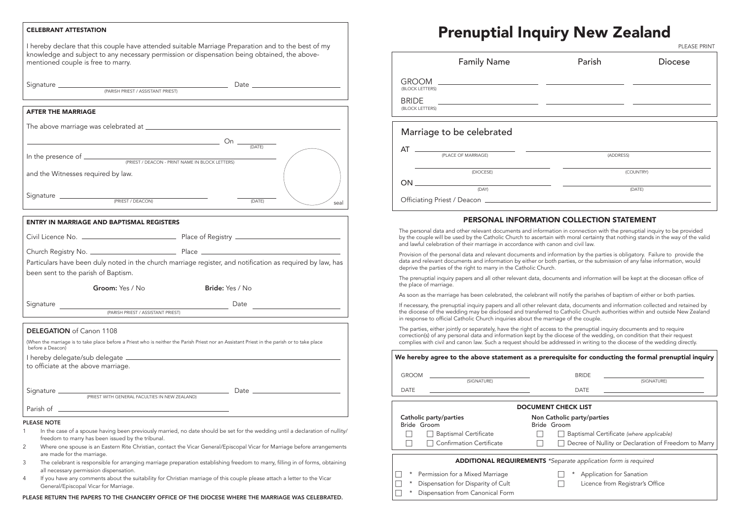- In the case of a spouse having been previously married, no date should be set for the wedding until a declaration of nullity/ freedom to marry has been issued by the tribunal.
- 2 Where one spouse is an Eastern Rite Christian, contact the Vicar General/Episcopal Vicar for Marriage before arrangements are made for the marriage.
- 3 The celebrant is responsible for arranging marriage preparation establishing freedom to marry, filling in of forms, obtaining all necessary permission dispensation.
- 4 If you have any comments about the suitability for Christian marriage of this couple please attach a letter to the Vicar General/Episcopal Vicar for Marriage.

## AFTER THE MARRIAGE

|                                    | The above marriage was celebrated at _________  |                     |      |
|------------------------------------|-------------------------------------------------|---------------------|------|
|                                    |                                                 | $On \_\_$<br>(DATE) |      |
| In the presence of $\_$            | (PRIEST / DEACON - PRINT NAME IN BLOCK LETTERS) |                     |      |
| and the Witnesses required by law. |                                                 |                     |      |
| Signature                          | (PRIEST / DEACON)                               | (DATE)              | seal |

| <b>ENTRY IN MARRIAGE AND BAPTISMAL REGISTERS</b> |                                                                                                                                             |
|--------------------------------------------------|---------------------------------------------------------------------------------------------------------------------------------------------|
|                                                  |                                                                                                                                             |
|                                                  |                                                                                                                                             |
| been sent to the parish of Baptism.              | Particulars have been duly noted in the church marriage register, and notification as required by law, has                                  |
| Groom: Yes / No                                  | Bride: Yes / No                                                                                                                             |
|                                                  | Date $\overline{\qquad \qquad }$                                                                                                            |
|                                                  | (PARISH PRIEST / ASSISTANT PRIEST)                                                                                                          |
| <b>DELEGATION</b> of Canon 1108                  |                                                                                                                                             |
| before a Deacon)                                 | (When the marriage is to take place before a Priest who is neither the Parish Priest nor an Assistant Priest in the parish or to take place |
| to officiate at the above marriage.              |                                                                                                                                             |
|                                                  |                                                                                                                                             |
|                                                  |                                                                                                                                             |
| <b>PLEASE NOTE</b>                               | the contract of the contract of the contract of the contract of the contract of the contract of the contract of                             |

### CELEBRANT ATTESTATION

I hereby declare that this couple have attended suitable Marriage Preparation and to the best of my knowledge and subject to any necessary permission or dispensation being obtained, the abovementioned couple is free to marry.

|  | Signature |
|--|-----------|
|  |           |

The prenuptial inquiry papers and all other relevant data, documents and information will be kept at the diocesan office of the place of marriage.

Signature Date (PARISH PRIEST / ASSISTANT PRIEST)

If necessary, the prenuptial inquiry papers and all other relevant data, documents and information collected and retained by the diocese of the wedding may be disclosed and transferred to Catholic Church authorities within and outside New Zealand in response to official Catholic Church inquiries about the marriage of the couple.

|          |                                       | <b>DOCUMENT CHECK LIST</b>                                            |  |  |  |
|----------|---------------------------------------|-----------------------------------------------------------------------|--|--|--|
|          | Catholic party/parties<br>Bride Groom | Non Catholic party/parties<br>Bride Groom                             |  |  |  |
|          | <b>Baptismal Certificate</b>          | Baptismal Certificate (where applicable)                              |  |  |  |
|          | Confirmation Certificate              | Decree of Nullity or Declaration of Fre                               |  |  |  |
|          |                                       | <b>ADDITIONAL REQUIREMENTS</b> *Separate application form is required |  |  |  |
|          |                                       |                                                                       |  |  |  |
| $\star$  | Permission for a Mixed Marriage       | Application for Sanation                                              |  |  |  |
| $^\star$ | Dispensation for Disparity of Cult    | Licence from Registrar's Office                                       |  |  |  |
| *        | Dispensation from Canonical Form      |                                                                       |  |  |  |

PLEASE RETURN THE PAPERS TO THE CHANCERY OFFICE OF THE DIOCESE WHERE THE MARRIAGE WAS CELEBRATED.

# Prenuptial Inquiry New Zealand

# PERSONAL INFORMATION COLLECTION STATEMENT

The personal data and other relevant documents and information in connection with the prenuptial inquiry to be provided by the couple will be used by the Catholic Church to ascertain with moral certainty that nothing stands in the way of the valid and lawful celebration of their marriage in accordance with canon and civil law.

Provision of the personal data and relevant documents and information by the parties is obligatory. Failure to provide the data and relevant documents and information by either or both parties, or the submission of any false information, would deprive the parties of the right to marry in the Catholic Church.

As soon as the marriage has been celebrated, the celebrant will notify the parishes of baptism of either or both parties.

|                                                                    | <b>Family Name</b> | Parish    | <b>Diocese</b> |
|--------------------------------------------------------------------|--------------------|-----------|----------------|
| <b>GROOM</b><br>(BLOCK LETTERS)<br><b>BRIDE</b><br>(BLOCK LETTERS) |                    |           |                |
| Marriage to be celebrated                                          |                    |           |                |
| AT<br>(PLACE OF MARRIAGE)                                          |                    | (ADDRESS) |                |
|                                                                    | (DIOCESE)          |           | (COUNTRY)      |
| ON.                                                                | (DAY)              |           | (DATE)         |
| Officiating Priest / Deacon                                        |                    |           |                |

The parties, either jointly or separately, have the right of access to the prenuptial inquiry documents and to require correction(s) of any personal data and information kept by the diocese of the wedding, on condition that their request complies with civil and canon law. Such a request should be addressed in writing to the diocese of the wedding directly.

|  |  |  |  |  |  | We hereby agree to the above statement as a prereq |  |  |  |
|--|--|--|--|--|--|----------------------------------------------------|--|--|--|
|--|--|--|--|--|--|----------------------------------------------------|--|--|--|

PLEASE PRINT

# quisite for conducting the formal prenuptial inquiry

DATE

|  | (SIGNATURE) |  |
|--|-------------|--|
|  |             |  |

GROOM

DATE

- 
- Freedom to Marry

(SIGNATURE)

| ۰, |  |
|----|--|
|----|--|